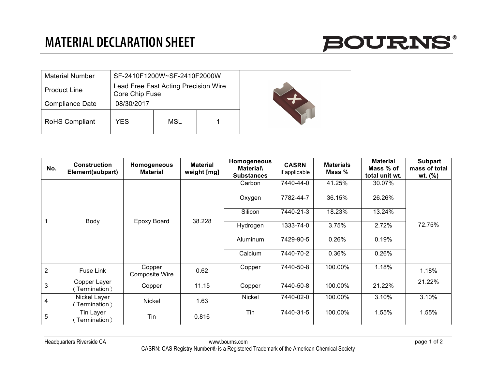

| <b>Material Number</b> |                | SF-2410F1200W~SF-2410F2000W          |  |  |
|------------------------|----------------|--------------------------------------|--|--|
| <b>Product Line</b>    | Core Chip Fuse | Lead Free Fast Acting Precision Wire |  |  |
| <b>Compliance Date</b> | 08/30/2017     |                                      |  |  |
| <b>RoHS Compliant</b>  | YES            | MSL                                  |  |  |

| No.            | <b>Construction</b><br>Element(subpart) | Homogeneous<br><b>Material</b>  | <b>Material</b><br>weight [mg] | Homogeneous<br><b>Material\</b><br><b>Substances</b> | <b>CASRN</b><br>if applicable | <b>Materials</b><br>Mass % | <b>Material</b><br>Mass % of<br>total unit wt. | <b>Subpart</b><br>mass of total<br>wt. $(\%)$ |
|----------------|-----------------------------------------|---------------------------------|--------------------------------|------------------------------------------------------|-------------------------------|----------------------------|------------------------------------------------|-----------------------------------------------|
|                | Body                                    | <b>Epoxy Board</b>              | 38.228                         | Carbon                                               | 7440-44-0                     | 41.25%                     | 30.07%                                         |                                               |
|                |                                         |                                 |                                | Oxygen                                               | 7782-44-7                     | 36.15%                     | 26.26%                                         |                                               |
|                |                                         |                                 |                                | Silicon                                              | 7440-21-3                     | 18.23%                     | 13.24%                                         |                                               |
|                |                                         |                                 |                                | Hydrogen                                             | 1333-74-0                     | 3.75%                      | 2.72%                                          | 72.75%                                        |
|                |                                         |                                 |                                | Aluminum                                             | 7429-90-5                     | 0.26%                      | 0.19%                                          |                                               |
|                |                                         |                                 |                                | Calcium                                              | 7440-70-2                     | 0.36%                      | 0.26%                                          |                                               |
| $\overline{2}$ | Fuse Link                               | Copper<br><b>Composite Wire</b> | 0.62                           | Copper                                               | 7440-50-8                     | 100.00%                    | 1.18%                                          | 1.18%                                         |
| 3              | Copper Layer<br>Termination)            | Copper                          | 11.15                          | Copper                                               | 7440-50-8                     | 100.00%                    | 21.22%                                         | 21.22%                                        |
| $\overline{4}$ | Nickel Layer<br>Termination)            | Nickel                          | 1.63                           | Nickel                                               | 7440-02-0                     | 100.00%                    | 3.10%                                          | 3.10%                                         |
| 5              | Tin Layer<br>Termination)               | Tin                             | 0.816                          | Tin                                                  | 7440-31-5                     | 100.00%                    | 1.55%                                          | 1.55%                                         |